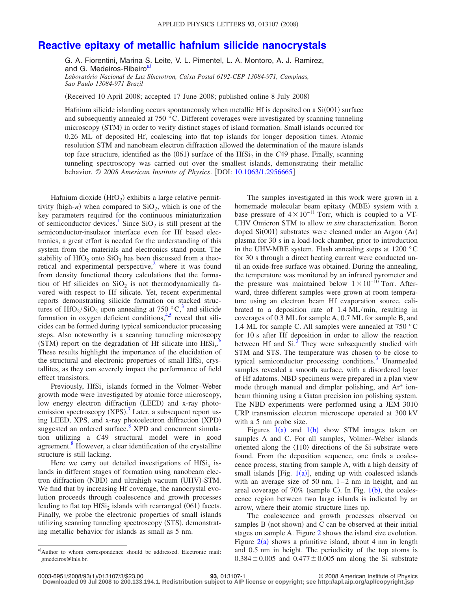## **[Reactive epitaxy of metallic hafnium silicide nanocrystals](http://dx.doi.org/10.1063/1.2956665)**

G. A. Fiorentini, Marina S. Leite, V. L. Pimentel, L. A. Montoro, A. J. Ramirez, and G. Medeiros-Ribeiro<sup>a)</sup> *Laboratório Nacional de Luz Síncrotron, Caixa Postal 6192-CEP 13084-971, Campinas,*

*Sao Paulo 13084-971 Brazil*

Received 10 April 2008; accepted 17 June 2008; published online 8 July 2008-

Hafnium silicide islanding occurs spontaneously when metallic Hf is deposited on a Si(001) surface and subsequently annealed at 750 °C. Different coverages were investigated by scanning tunneling microscopy (STM) in order to verify distinct stages of island formation. Small islands occurred for 0.26 ML of deposited Hf, coalescing into flat top islands for longer deposition times. Atomic resolution STM and nanobeam electron diffraction allowed the determination of the mature islands top face structure, identified as the (061) surface of the HfSi<sub>2</sub> in the *C*49 phase. Finally, scanning tunneling spectroscopy was carried out over the smallest islands, demonstrating their metallic behavior. © 2008 American Institute of Physics. [DOI: [10.1063/1.2956665](http://dx.doi.org/10.1063/1.2956665)]

Hafnium dioxide (HfO<sub>2</sub>) exhibits a large relative permittivity (high- $\kappa$ ) when compared to SiO<sub>2</sub>, which is one of the key parameters required for the continuous miniaturization of semiconductor devices.<sup>1</sup> Since  $SiO<sub>2</sub>$  is still present at the semiconductor-insulator interface even for Hf based electronics, a great effort is needed for the understanding of this system from the materials and electronics stand point. The stability of  $HfO<sub>2</sub>$  onto  $SiO<sub>2</sub>$  has been discussed from a theoretical and experimental perspective, $\lambda$  where it was found from density functional theory calculations that the formation of Hf silicides on  $SiO<sub>2</sub>$  is not thermodynamically favored with respect to Hf silicate. Yet, recent experimental reports demonstrating silicide formation on stacked structures of HfO<sub>2</sub>/SiO<sub>2</sub> upon annealing at 750  $^{\circ}$ C<sub>1</sub><sup>3</sup> and silicide formation in oxygen deficient conditions, $4.5$  $4.5$  reveal that silicides can be formed during typical semiconductor processing steps. Also noteworthy is a scanning tunneling microscopy (STM) report on the degradation of Hf silicate into HfSi<sub>x</sub>.<sup>[6](#page-2-5)</sup> These results highlight the importance of the elucidation of the structural and electronic properties of small HfSi*<sup>x</sup>* crystallites, as they can severely impact the performance of field effect transistors.

Previously, HfSi<sub>x</sub> islands formed in the Volmer–Weber growth mode were investigated by atomic force microscopy, low energy electron diffraction (LEED) and x-ray photoemission spectroscopy  $(XPS)$ .<sup>[7](#page-2-6)</sup> Later, a subsequent report using LEED, XPS, and x-ray photoelectron diffraction (XPD) suggested an ordered surface.<sup>8</sup> XPD and concurrent simulation utilizing a *C*49 structural model were in good agreement.<sup>8</sup> However, a clear identification of the crystalline structure is still lacking.

Here we carry out detailed investigations of HfSi*<sup>x</sup>* islands in different stages of formation using nanobeam electron diffraction (NBD) and ultrahigh vacuum (UHV)-STM. We find that by increasing Hf coverage, the nanocrystal evolution proceeds through coalescence and growth processes leading to flat top  $HfSi<sub>2</sub>$  islands with rearranged (061) facets. Finally, we probe the electronic properties of small islands utilizing scanning tunneling spectroscopy (STS), demonstrating metallic behavior for islands as small as 5 nm.

The samples investigated in this work were grown in a homemade molecular beam epitaxy (MBE) system with a base pressure of  $4 \times 10^{-11}$  Torr, which is coupled to a VT-UHV Omicron STM to allow *in situ* characterization. Boron doped Si(001) substrates were cleaned under an Argon (Ar) plasma for 30 s in a load-lock chamber, prior to introduction in the UHV-MBE system. Flash annealing steps at 1200 °C for 30 s through a direct heating current were conducted until an oxide-free surface was obtained. During the annealing, the temperature was monitored by an infrared pyrometer and the pressure was maintained below  $1 \times 10^{-10}$  Torr. Afterward, three different samples were grown at room temperature using an electron beam Hf evaporation source, calibrated to a deposition rate of 1.4 ML/min, resulting in coverages of 0.3 ML for sample A, 0.7 ML for sample B, and 1.4 ML for sample C. All samples were annealed at 750 °C for 10 s after Hf deposition in order to allow the reaction between Hf and  $Si<sup>3</sup>$ . They were subsequently studied with STM and STS. The temperature was chosen to be close to typical semiconductor processing conditions.<sup>3</sup> Unannealed samples revealed a smooth surface, with a disordered layer of Hf adatoms. NBD specimens were prepared in a plan view mode through manual and dimpler polishing, and Ar<sup>+</sup> ionbeam thinning using a Gatan precision ion polishing system. The NBD experiments were performed using a JEM 3010 URP transmission electron microscope operated at 300 kV with a 5 nm probe size.

Figures  $1(a)$  $1(a)$  and  $1(b)$  show STM images taken on samples A and C. For all samples, Volmer–Weber islands oriented along the  $\langle 110 \rangle$  directions of the Si substrate were found. From the deposition sequence, one finds a coalescence process, starting from sample A, with a high density of small islands [Fig.  $1(a)$  $1(a)$ ], ending up with coalesced islands with an average size of 50 nm,  $1-2$  nm in height, and an areal coverage of  $70\%$  (sample C). In Fig. [1](#page-1-0)(b), the coalescence region between two large islands is indicated by an arrow, where their atomic structure lines up.

The coalescence and growth processes observed on samples B (not shown) and C can be observed at their initial stages on sample A. Figure [2](#page-1-1) shows the island size evolution. Figure  $2(a)$  $2(a)$  shows a primitive island, about 4 nm in length and 0.5 nm in height. The periodicity of the top atoms is  $0.384 \pm 0.005$  and  $0.477 \pm 0.005$  nm along the Si substrate

<span id="page-0-0"></span>a) Author to whom correspondence should be addressed. Electronic mail: gmedeiros@lnls.br.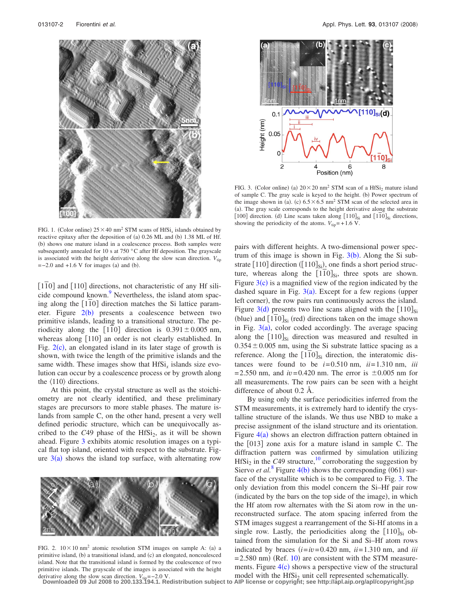<span id="page-1-0"></span>

FIG. 1. (Color online)  $25 \times 40$  nm<sup>2</sup> STM scans of HfSi<sub>x</sub> islands obtained by reactive epitaxy after the deposition of (a) 0.26 ML and (b) 1.38 ML of Hf. (b) shows one mature island in a coalescence process. Both samples were subsequently annealed for 10 s at 750 °C after Hf deposition. The grayscale is associated with the height derivative along the slow scan direction.  $V_{\text{tip}}$  $=-2.0$  and  $+1.6$  V for images (a) and (b).

[110] and [110] directions, not characteristic of any Hf silicide compound known.<sup>9</sup> Nevertheless, the island atom spacing along the [110] direction matches the Si lattice parameter. Figure  $2(b)$  $2(b)$  presents a coalescence between two primitive islands, leading to a transitional structure. The periodicity along the  $|110|$  direction is  $0.391 \pm 0.005$  nm, whereas along [110] an order is not clearly established. In Fig.  $2(c)$  $2(c)$ , an elongated island in its later stage of growth is shown, with twice the length of the primitive islands and the same width. These images show that  $HfSi<sub>x</sub>$  islands size evolution can occur by a coalescence process or by growth along the  $\langle 110 \rangle$  directions.

At this point, the crystal structure as well as the stoichiometry are not clearly identified, and these preliminary stages are precursors to more stable phases. The mature islands from sample C, on the other hand, present a very well defined periodic structure, which can be unequivocally ascribed to the  $C_{49}$  phase of the HfSi<sub>2</sub>, as it will be shown ahead. Figure [3](#page-1-2) exhibits atomic resolution images on a typical flat top island, oriented with respect to the substrate. Figure  $3(a)$  $3(a)$  shows the island top surface, with alternating row

<span id="page-1-1"></span>

FIG. 2.  $10 \times 10$  nm<sup>2</sup> atomic resolution STM images on sample A: (a) a primitive island, (b) a transitional island, and (c) an elongated, noncoalesced island. Note that the transitional island is formed by the coalescence of two primitive islands. The grayscale of the images is associated with the height

<span id="page-1-2"></span>

FIG. 3. (Color online) (a)  $20 \times 20$  nm<sup>2</sup> STM scan of a HfSi<sub>2</sub> mature island of sample C. The gray scale is keyed to the height. (b) Power spectrum of the image shown in (a). (c)  $6.5 \times 6.5$  nm<sup>2</sup> STM scan of the selected area in (a). The gray scale corresponds to the height derivative along the substrate [100] direction. (d) Line scans taken along  $[110]_{Si}$  and  $[110]_{Si}$  directions, showing the periodicity of the atoms.  $V_{\text{tin}} = +1.6$  V.

pairs with different heights. A two-dimensional power spectrum of this image is shown in Fig.  $3(b)$  $3(b)$ . Along the Si substrate  $[110]$  direction ( $[110]_{Si}$ ), one finds a short period structure, whereas along the  $[110]_{Si}$ , three spots are shown. Figure  $3(c)$  $3(c)$  is a magnified view of the region indicated by the dashed square in Fig.  $3(a)$  $3(a)$ . Except for a few regions (upper left corner), the row pairs run continuously across the island. Figure  $3(d)$  $3(d)$  presents two line scans aligned with the  $[110]_{Si}$ (blue) and  $[110]_{Si}$  (red) directions taken on the image shown in Fig.  $3(a)$  $3(a)$ , color coded accordingly. The average spacing along the  $[110]_{Si}$  direction was measured and resulted in  $0.354 \pm 0.005$  nm, using the Si substrate lattice spacing as a reference. Along the  $[110]_{Si}$  direction, the interatomic distances were found to be  $i=0.510$  nm,  $ii=1.310$  nm,  $iii$  $=2.550$  nm, and  $iv=0.420$  nm. The error is  $\pm 0.005$  nm for all measurements. The row pairs can be seen with a height difference of about 0.2 Å.

By using only the surface periodicities inferred from the STM measurements, it is extremely hard to identify the crystalline structure of the islands. We thus use NBD to make a precise assignment of the island structure and its orientation. Figure  $4(a)$  $4(a)$  shows an electron diffraction pattern obtained in the  $[013]$  zone axis for a mature island in sample C. The diffraction pattern was confirmed by simulation utilizing HfSi<sub>2</sub> in the *C*49 structure,<sup>10</sup> corroborating the suggestion by Siervo *et al.*<sup>[8](#page-2-7)</sup> Figure [4](#page-2-9)(b) shows the corresponding  $(061)$  surface of the crystallite which is to be compared to Fig. [3.](#page-1-2) The only deviation from this model concern the Si–Hf pair row (indicated by the bars on the top side of the image), in which the Hf atom row alternates with the Si atom row in the unreconstructed surface. The atom spacing inferred from the STM images suggest a rearrangement of the Si-Hf atoms in a single row. Lastly, the periodicities along the  $[110]_{Si}$  obtained from the simulation for the Si and Si–Hf atom rows indicated by braces  $(i=iv=0.420 \text{ nm}, i=1.310 \text{ nm}, \text{ and } iii$  $= 2.580$  nm) (Ref. [10](#page-2-10)) are consistent with the STM measurements. Figure  $4(c)$  $4(c)$  shows a perspective view of the structural

derivative along the slow scan direction.  $V_{\text{tip}} = -2.0 \text{ V}$ .<br>Downloaded 09 Jul 2008 to 200.133.194.1. Redistribution subject to AIP license or copyright; see http://apl.aip.org/apl/copyright.jsp